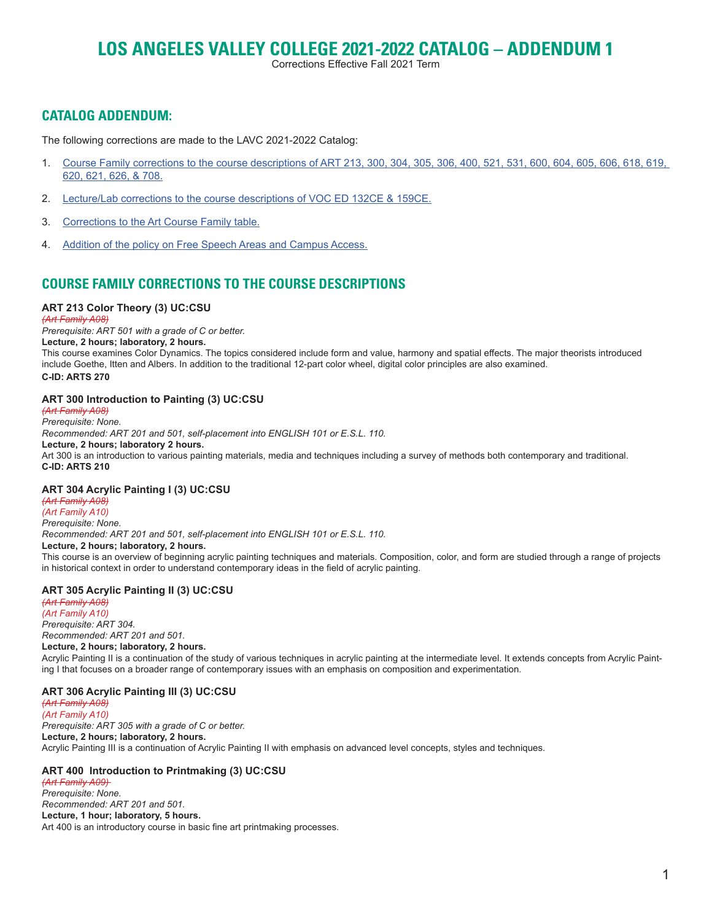# **LOS ANGELES VALLEY COLLEGE 2021-2022 CATALOG – ADDENDUM 1**

Corrections Effective Fall 2021 Term

# **CATALOG ADDENDUM:**

The following corrections are made to the LAVC 2021-2022 Catalog:

- 1. [Course Family corrections to the course descriptions of ART 213, 300, 304, 305, 306, 400, 521, 531, 600, 604, 605, 606, 618, 619,](#page-0-0)  [620, 621, 626, & 708.](#page-0-0)
- 2. [Lecture/Lab corrections to the course descriptions of VOC ED 132CE & 159CE.](#page-2-0)
- 3. [Corrections to the Art Course Family table.](#page-3-0)
- 4. [Addition of the policy on Free Speech Areas and Campus Access.](#page-3-1)

# <span id="page-0-0"></span>**COURSE FAMILY CORRECTIONS TO THE COURSE DESCRIPTIONS**

# **ART 213 Color Theory (3) UC:CSU**

*(Art Family A08) Prerequisite: ART 501 with a grade of C or better.* **Lecture, 2 hours; laboratory, 2 hours.** This course examines Color Dynamics. The topics considered include form and value, harmony and spatial effects. The major theorists introduced include Goethe, Itten and Albers. In addition to the traditional 12-part color wheel, digital color principles are also examined. **C-ID: ARTS 270**

# **ART 300 Introduction to Painting (3) UC:CSU**

*(Art Family A08) Prerequisite: None. Recommended: ART 201 and 501, self-placement into ENGLISH 101 or E.S.L. 110.* **Lecture, 2 hours; laboratory 2 hours.** Art 300 is an introduction to various painting materials, media and techniques including a survey of methods both contemporary and traditional. **C-ID: ARTS 210**

## **ART 304 Acrylic Painting I (3) UC:CSU**

*(Art Family A08) (Art Family A10) Prerequisite: None. Recommended: ART 201 and 501, self-placement into ENGLISH 101 or E.S.L. 110.* **Lecture, 2 hours; laboratory, 2 hours.** This course is an overview of beginning acrylic painting techniques and materials. Composition, color, and form are studied through a range of projects in historical context in order to understand contemporary ideas in the field of acrylic painting.

## **ART 305 Acrylic Painting II (3) UC:CSU**

*(Art Family A08) (Art Family A10) Prerequisite: ART 304. Recommended: ART 201 and 501.* **Lecture, 2 hours; laboratory, 2 hours.** Acrylic Painting II is a continuation of the study of various techniques in acrylic painting at the intermediate level. It extends concepts from Acrylic Painting I that focuses on a broader range of contemporary issues with an emphasis on composition and experimentation.

# **ART 306 Acrylic Painting III (3) UC:CSU**

*(Art Family A08) (Art Family A10) Prerequisite: ART 305 with a grade of C or better.* **Lecture, 2 hours; laboratory, 2 hours.** Acrylic Painting III is a continuation of Acrylic Painting II with emphasis on advanced level concepts, styles and techniques.

# **ART 400 Introduction to Printmaking (3) UC:CSU**

*(Art Family A09) Prerequisite: None. Recommended: ART 201 and 501.* **Lecture, 1 hour; laboratory, 5 hours.** Art 400 is an introductory course in basic fine art printmaking processes.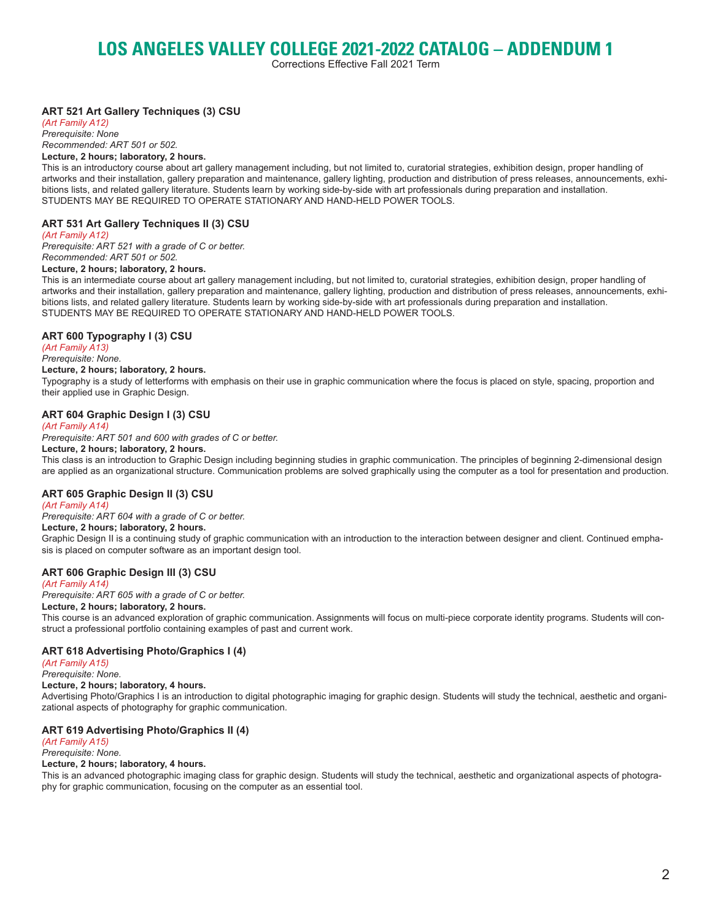# **LOS ANGELES VALLEY COLLEGE 2021-2022 CATALOG – ADDENDUM 1**

Corrections Effective Fall 2021 Term

# **ART 521 Art Gallery Techniques (3) CSU**

*(Art Family A12) Prerequisite: None Recommended: ART 501 or 502.* **Lecture, 2 hours; laboratory, 2 hours.**

This is an introductory course about art gallery management including, but not limited to, curatorial strategies, exhibition design, proper handling of artworks and their installation, gallery preparation and maintenance, gallery lighting, production and distribution of press releases, announcements, exhibitions lists, and related gallery literature. Students learn by working side-by-side with art professionals during preparation and installation. STUDENTS MAY BE REQUIRED TO OPERATE STATIONARY AND HAND-HELD POWER TOOLS.

# **ART 531 Art Gallery Techniques II (3) CSU**

*(Art Family A12)*

*Prerequisite: ART 521 with a grade of C or better. Recommended: ART 501 or 502.*

#### **Lecture, 2 hours; laboratory, 2 hours.**

This is an intermediate course about art gallery management including, but not limited to, curatorial strategies, exhibition design, proper handling of artworks and their installation, gallery preparation and maintenance, gallery lighting, production and distribution of press releases, announcements, exhibitions lists, and related gallery literature. Students learn by working side-by-side with art professionals during preparation and installation. STUDENTS MAY BE REQUIRED TO OPERATE STATIONARY AND HAND-HELD POWER TOOLS.

# **ART 600 Typography I (3) CSU**

*(Art Family A13) Prerequisite: None.*

# **Lecture, 2 hours; laboratory, 2 hours.**

Typography is a study of letterforms with emphasis on their use in graphic communication where the focus is placed on style, spacing, proportion and their applied use in Graphic Design.

## **ART 604 Graphic Design I (3) CSU**

#### *(Art Family A14)*

*Prerequisite: ART 501 and 600 with grades of C or better.*

# **Lecture, 2 hours; laboratory, 2 hours.**

This class is an introduction to Graphic Design including beginning studies in graphic communication. The principles of beginning 2-dimensional design are applied as an organizational structure. Communication problems are solved graphically using the computer as a tool for presentation and production.

## **ART 605 Graphic Design II (3) CSU**

#### *(Art Family A14)*

*Prerequisite: ART 604 with a grade of C or better.*

**Lecture, 2 hours; laboratory, 2 hours.** Graphic Design II is a continuing study of graphic communication with an introduction to the interaction between designer and client. Continued emphasis is placed on computer software as an important design tool.

## **ART 606 Graphic Design III (3) CSU**

#### *(Art Family A14)*

*Prerequisite: ART 605 with a grade of C or better.*

#### **Lecture, 2 hours; laboratory, 2 hours.**

This course is an advanced exploration of graphic communication. Assignments will focus on multi-piece corporate identity programs. Students will construct a professional portfolio containing examples of past and current work.

## **ART 618 Advertising Photo/Graphics I (4)**

*(Art Family A15)*

#### *Prerequisite: None.*

# **Lecture, 2 hours; laboratory, 4 hours.**

Advertising Photo/Graphics I is an introduction to digital photographic imaging for graphic design. Students will study the technical, aesthetic and organizational aspects of photography for graphic communication.

## **ART 619 Advertising Photo/Graphics II (4)**

*(Art Family A15) Prerequisite: None.*

# **Lecture, 2 hours; laboratory, 4 hours.**

This is an advanced photographic imaging class for graphic design. Students will study the technical, aesthetic and organizational aspects of photography for graphic communication, focusing on the computer as an essential tool.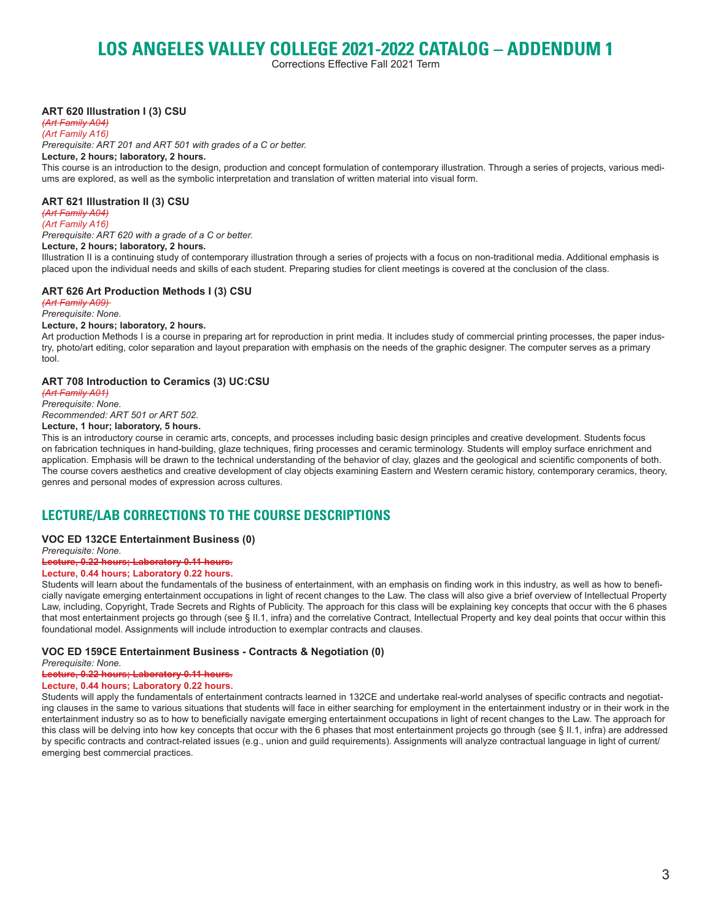# **LOS ANGELES VALLEY COLLEGE 2021-2022 CATALOG – ADDENDUM 1**

Corrections Effective Fall 2021 Term

## **ART 620 Illustration I (3) CSU**

*(Art Family A04)*

*(Art Family A16) Prerequisite: ART 201 and ART 501 with grades of a C or better.*

#### **Lecture, 2 hours; laboratory, 2 hours.**

This course is an introduction to the design, production and concept formulation of contemporary illustration. Through a series of projects, various mediums are explored, as well as the symbolic interpretation and translation of written material into visual form.

#### **ART 621 Illustration II (3) CSU**

*(Art Family A04) (Art Family A16)*

*Prerequisite: ART 620 with a grade of a C or better.* **Lecture, 2 hours; laboratory, 2 hours.**

Illustration II is a continuing study of contemporary illustration through a series of projects with a focus on non-traditional media. Additional emphasis is placed upon the individual needs and skills of each student. Preparing studies for client meetings is covered at the conclusion of the class.

#### **ART 626 Art Production Methods I (3) CSU**

*(Art Family A09) Prerequisite: None.*

#### **Lecture, 2 hours; laboratory, 2 hours.**

Art production Methods I is a course in preparing art for reproduction in print media. It includes study of commercial printing processes, the paper industry, photo/art editing, color separation and layout preparation with emphasis on the needs of the graphic designer. The computer serves as a primary tool.

#### **ART 708 Introduction to Ceramics (3) UC:CSU**

*(Art Family A01)*

*Prerequisite: None. Recommended: ART 501 or ART 502.*

#### **Lecture, 1 hour; laboratory, 5 hours.**

This is an introductory course in ceramic arts, concepts, and processes including basic design principles and creative development. Students focus on fabrication techniques in hand-building, glaze techniques, firing processes and ceramic terminology. Students will employ surface enrichment and application. Emphasis will be drawn to the technical understanding of the behavior of clay, glazes and the geological and scientific components of both. The course covers aesthetics and creative development of clay objects examining Eastern and Western ceramic history, contemporary ceramics, theory, genres and personal modes of expression across cultures.

# <span id="page-2-0"></span>**LECTURE/LAB CORRECTIONS TO THE COURSE DESCRIPTIONS**

#### **VOC ED 132CE Entertainment Business (0)**

*Prerequisite: None.* **Lecture, 0.22 hours; Laboratory 0.11 hours.**

#### **Lecture, 0.44 hours; Laboratory 0.22 hours.**

Students will learn about the fundamentals of the business of entertainment, with an emphasis on finding work in this industry, as well as how to beneficially navigate emerging entertainment occupations in light of recent changes to the Law. The class will also give a brief overview of Intellectual Property Law, including, Copyright, Trade Secrets and Rights of Publicity. The approach for this class will be explaining key concepts that occur with the 6 phases that most entertainment projects go through (see § II.1, infra) and the correlative Contract, Intellectual Property and key deal points that occur within this foundational model. Assignments will include introduction to exemplar contracts and clauses.

#### **VOC ED 159CE Entertainment Business - Contracts & Negotiation (0)**

*Prerequisite: None.*

**Lecture, 0.22 hours; Laboratory 0.11 hours.**

# **Lecture, 0.44 hours; Laboratory 0.22 hours.**

Students will apply the fundamentals of entertainment contracts learned in 132CE and undertake real-world analyses of specific contracts and negotiating clauses in the same to various situations that students will face in either searching for employment in the entertainment industry or in their work in the entertainment industry so as to how to beneficially navigate emerging entertainment occupations in light of recent changes to the Law. The approach for this class will be delving into how key concepts that occur with the 6 phases that most entertainment projects go through (see § II.1, infra) are addressed by specific contracts and contract-related issues (e.g., union and guild requirements). Assignments will analyze contractual language in light of current/ emerging best commercial practices.